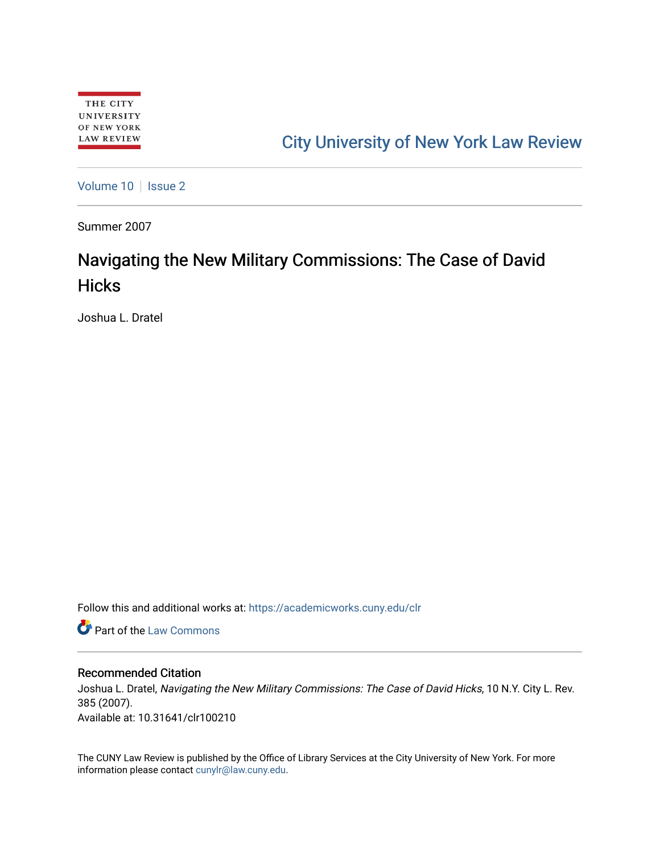## [City University of New York Law Review](https://academicworks.cuny.edu/clr)

[Volume 10](https://academicworks.cuny.edu/clr/vol10) | [Issue 2](https://academicworks.cuny.edu/clr/vol10/iss2)

Summer 2007

# Navigating the New Military Commissions: The Case of David **Hicks**

Joshua L. Dratel

Follow this and additional works at: [https://academicworks.cuny.edu/clr](https://academicworks.cuny.edu/clr?utm_source=academicworks.cuny.edu%2Fclr%2Fvol10%2Fiss2%2F11&utm_medium=PDF&utm_campaign=PDFCoverPages) 

**C** Part of the [Law Commons](http://network.bepress.com/hgg/discipline/578?utm_source=academicworks.cuny.edu%2Fclr%2Fvol10%2Fiss2%2F11&utm_medium=PDF&utm_campaign=PDFCoverPages)

#### Recommended Citation

Joshua L. Dratel, Navigating the New Military Commissions: The Case of David Hicks, 10 N.Y. City L. Rev. 385 (2007). Available at: 10.31641/clr100210

The CUNY Law Review is published by the Office of Library Services at the City University of New York. For more information please contact [cunylr@law.cuny.edu](mailto:cunylr@law.cuny.edu).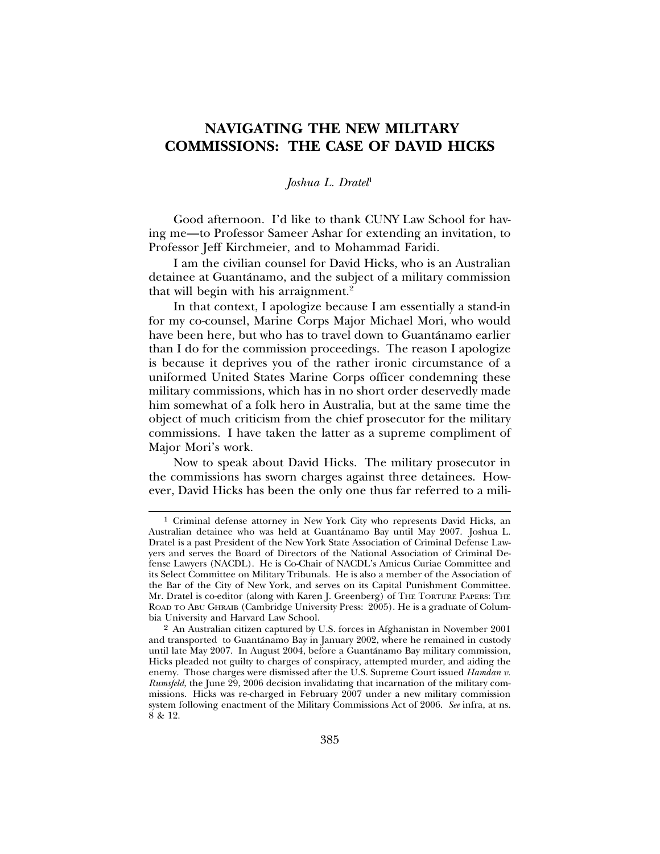### **NAVIGATING THE NEW MILITARY COMMISSIONS: THE CASE OF DAVID HICKS**

#### *Joshua L. Dratel*<sup>1</sup>

Good afternoon. I'd like to thank CUNY Law School for having me—to Professor Sameer Ashar for extending an invitation, to Professor Jeff Kirchmeier, and to Mohammad Faridi.

I am the civilian counsel for David Hicks, who is an Australian detainee at Guantánamo, and the subject of a military commission that will begin with his arraignment.<sup>2</sup>

In that context, I apologize because I am essentially a stand-in for my co-counsel, Marine Corps Major Michael Mori, who would have been here, but who has to travel down to Guantánamo earlier than I do for the commission proceedings. The reason I apologize is because it deprives you of the rather ironic circumstance of a uniformed United States Marine Corps officer condemning these military commissions, which has in no short order deservedly made him somewhat of a folk hero in Australia, but at the same time the object of much criticism from the chief prosecutor for the military commissions. I have taken the latter as a supreme compliment of Major Mori's work.

Now to speak about David Hicks. The military prosecutor in the commissions has sworn charges against three detainees. However, David Hicks has been the only one thus far referred to a mili-

<sup>1</sup> Criminal defense attorney in New York City who represents David Hicks, an Australian detainee who was held at Guantanamo Bay until May 2007. Joshua L. ´ Dratel is a past President of the New York State Association of Criminal Defense Lawyers and serves the Board of Directors of the National Association of Criminal Defense Lawyers (NACDL). He is Co-Chair of NACDL's Amicus Curiae Committee and its Select Committee on Military Tribunals. He is also a member of the Association of the Bar of the City of New York, and serves on its Capital Punishment Committee. Mr. Dratel is co-editor (along with Karen J. Greenberg) of THE TORTURE PAPERS: THE ROAD TO ABU GHRAIB (Cambridge University Press: 2005). He is a graduate of Columbia University and Harvard Law School.

<sup>2</sup> An Australian citizen captured by U.S. forces in Afghanistan in November 2001 and transported to Guantanamo Bay in January 2002, where he remained in custody ´ until late May 2007. In August 2004, before a Guantanamo Bay military commission, ´ Hicks pleaded not guilty to charges of conspiracy, attempted murder, and aiding the enemy. Those charges were dismissed after the U.S. Supreme Court issued *Hamdan v. Rumsfeld*, the June 29, 2006 decision invalidating that incarnation of the military commissions. Hicks was re-charged in February 2007 under a new military commission system following enactment of the Military Commissions Act of 2006. *See* infra, at ns. 8 & 12.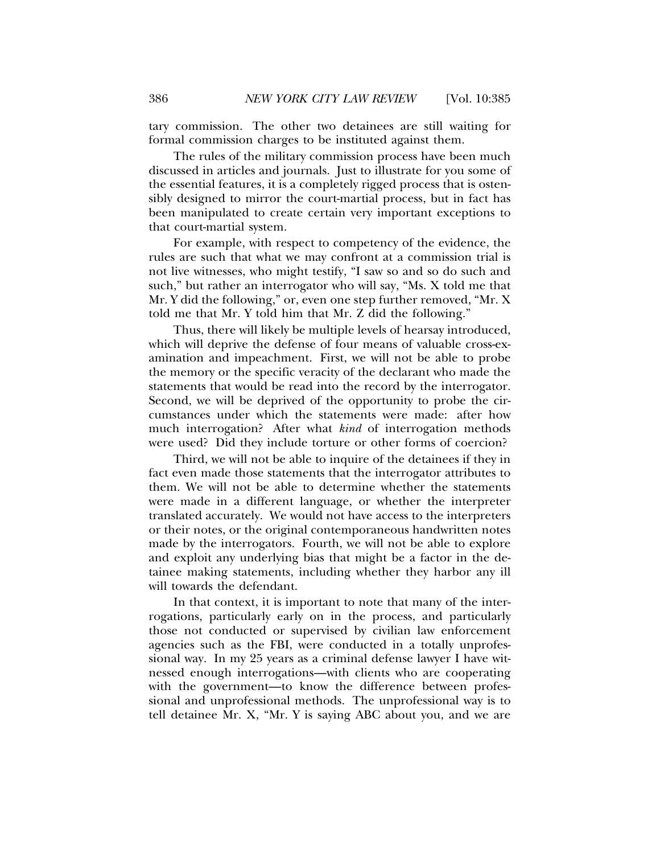tary commission. The other two detainees are still waiting for formal commission charges to be instituted against them.

The rules of the military commission process have been much discussed in articles and journals. Just to illustrate for you some of the essential features, it is a completely rigged process that is ostensibly designed to mirror the court-martial process, but in fact has been manipulated to create certain very important exceptions to that court-martial system.

For example, with respect to competency of the evidence, the rules are such that what we may confront at a commission trial is not live witnesses, who might testify, "I saw so and so do such and such," but rather an interrogator who will say, "Ms. X told me that Mr. Y did the following," or, even one step further removed, "Mr. X told me that Mr. Y told him that Mr. Z did the following."

Thus, there will likely be multiple levels of hearsay introduced, which will deprive the defense of four means of valuable cross-examination and impeachment. First, we will not be able to probe the memory or the specific veracity of the declarant who made the statements that would be read into the record by the interrogator. Second, we will be deprived of the opportunity to probe the circumstances under which the statements were made: after how much interrogation? After what *kind* of interrogation methods were used? Did they include torture or other forms of coercion?

Third, we will not be able to inquire of the detainees if they in fact even made those statements that the interrogator attributes to them. We will not be able to determine whether the statements were made in a different language, or whether the interpreter translated accurately. We would not have access to the interpreters or their notes, or the original contemporaneous handwritten notes made by the interrogators. Fourth, we will not be able to explore and exploit any underlying bias that might be a factor in the detainee making statements, including whether they harbor any ill will towards the defendant.

In that context, it is important to note that many of the interrogations, particularly early on in the process, and particularly those not conducted or supervised by civilian law enforcement agencies such as the FBI, were conducted in a totally unprofessional way. In my 25 years as a criminal defense lawyer I have witnessed enough interrogations—with clients who are cooperating with the government—to know the difference between professional and unprofessional methods. The unprofessional way is to tell detainee Mr. X, "Mr. Y is saying ABC about you, and we are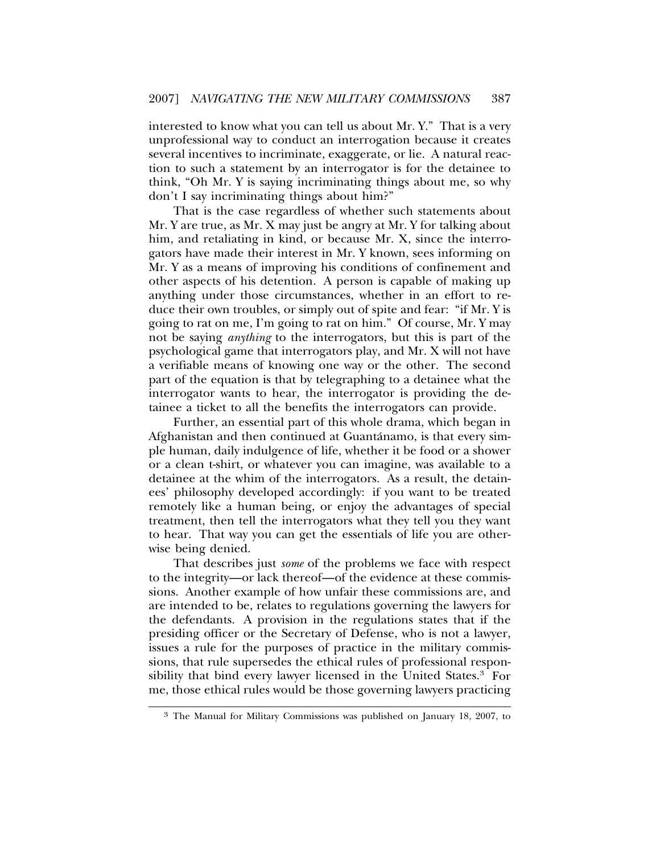interested to know what you can tell us about Mr. Y." That is a very unprofessional way to conduct an interrogation because it creates several incentives to incriminate, exaggerate, or lie. A natural reaction to such a statement by an interrogator is for the detainee to think, "Oh Mr. Y is saying incriminating things about me, so why don't I say incriminating things about him?"

That is the case regardless of whether such statements about Mr. Y are true, as Mr. X may just be angry at Mr. Y for talking about him, and retaliating in kind, or because Mr. X, since the interrogators have made their interest in Mr. Y known, sees informing on Mr. Y as a means of improving his conditions of confinement and other aspects of his detention. A person is capable of making up anything under those circumstances, whether in an effort to reduce their own troubles, or simply out of spite and fear: "if Mr. Y is going to rat on me, I'm going to rat on him." Of course, Mr. Y may not be saying *anything* to the interrogators, but this is part of the psychological game that interrogators play, and Mr. X will not have a verifiable means of knowing one way or the other. The second part of the equation is that by telegraphing to a detainee what the interrogator wants to hear, the interrogator is providing the detainee a ticket to all the benefits the interrogators can provide.

Further, an essential part of this whole drama, which began in Afghanistan and then continued at Guantánamo, is that every simple human, daily indulgence of life, whether it be food or a shower or a clean t-shirt, or whatever you can imagine, was available to a detainee at the whim of the interrogators. As a result, the detainees' philosophy developed accordingly: if you want to be treated remotely like a human being, or enjoy the advantages of special treatment, then tell the interrogators what they tell you they want to hear. That way you can get the essentials of life you are otherwise being denied.

That describes just *some* of the problems we face with respect to the integrity—or lack thereof—of the evidence at these commissions. Another example of how unfair these commissions are, and are intended to be, relates to regulations governing the lawyers for the defendants. A provision in the regulations states that if the presiding officer or the Secretary of Defense, who is not a lawyer, issues a rule for the purposes of practice in the military commissions, that rule supersedes the ethical rules of professional responsibility that bind every lawyer licensed in the United States.<sup>3</sup> For me, those ethical rules would be those governing lawyers practicing

<sup>3</sup> The Manual for Military Commissions was published on January 18, 2007, to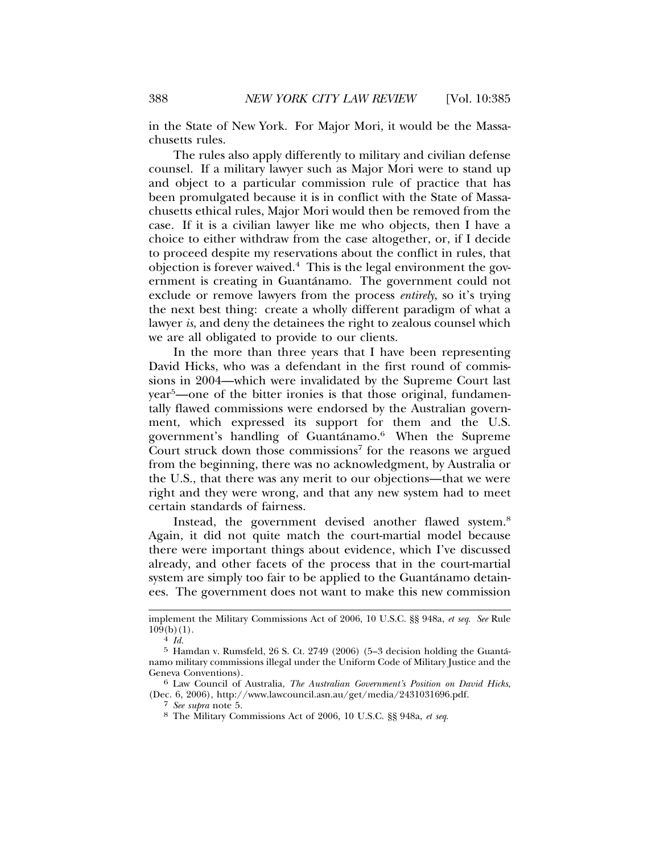in the State of New York. For Major Mori, it would be the Massachusetts rules.

The rules also apply differently to military and civilian defense counsel. If a military lawyer such as Major Mori were to stand up and object to a particular commission rule of practice that has been promulgated because it is in conflict with the State of Massachusetts ethical rules, Major Mori would then be removed from the case. If it is a civilian lawyer like me who objects, then I have a choice to either withdraw from the case altogether, or, if I decide to proceed despite my reservations about the conflict in rules, that objection is forever waived.<sup>4</sup> This is the legal environment the government is creating in Guantánamo. The government could not exclude or remove lawyers from the process *entirely*, so it's trying the next best thing: create a wholly different paradigm of what a lawyer *is*, and deny the detainees the right to zealous counsel which we are all obligated to provide to our clients.

In the more than three years that I have been representing David Hicks, who was a defendant in the first round of commissions in 2004—which were invalidated by the Supreme Court last year<sup>5</sup> —one of the bitter ironies is that those original, fundamentally flawed commissions were endorsed by the Australian government, which expressed its support for them and the U.S. government's handling of Guantánamo.<sup>6</sup> When the Supreme Court struck down those commissions<sup>7</sup> for the reasons we argued from the beginning, there was no acknowledgment, by Australia or the U.S., that there was any merit to our objections—that we were right and they were wrong, and that any new system had to meet certain standards of fairness.

Instead, the government devised another flawed system.<sup>8</sup> Again, it did not quite match the court-martial model because there were important things about evidence, which I've discussed already, and other facets of the process that in the court-martial system are simply too fair to be applied to the Guantanamo detainees. The government does not want to make this new commission

implement the Military Commissions Act of 2006, 10 U.S.C. §§ 948a, *et seq*. *See* Rule  $10\hat{9}(b)(1).$ <br> $4 \text{ } Id.$ 

 $5$  Hamdan v. Rumsfeld,  $26$  S. Ct.  $2749$  ( $2006$ ) ( $5-3$  decision holding the Guantánamo military commissions illegal under the Uniform Code of Military Justice and the Geneva Conventions). <sup>6</sup> Law Council of Australia, *The Australian Government's Position on David Hicks*,

<sup>(</sup>Dec. 6, 2006), http://www.lawcouncil.asn.au/get/media/2431031696.pdf.<br>7 See supra note 5.

<sup>&</sup>lt;sup>8</sup> The Military Commissions Act of 2006, 10 U.S.C. §§ 948a, *et seq.*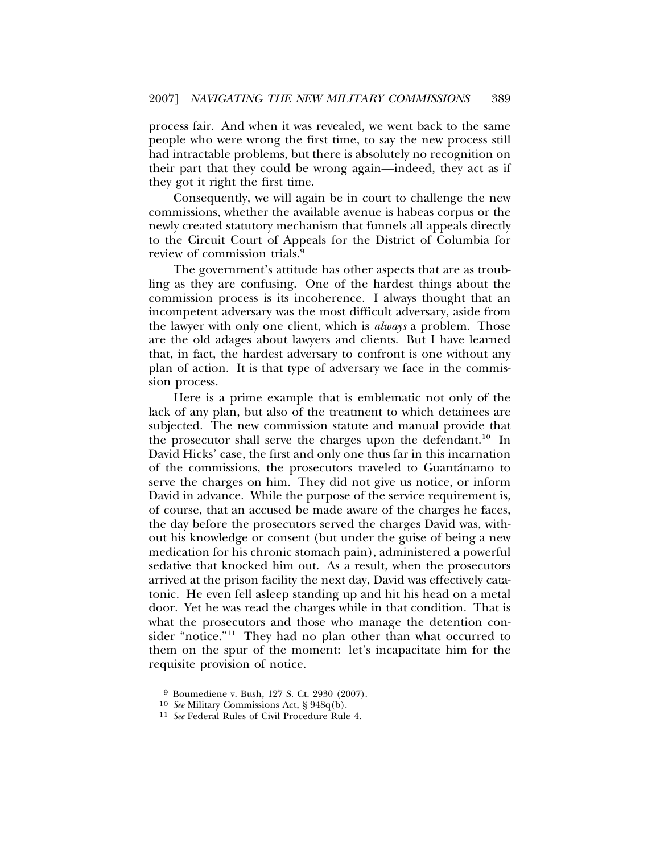process fair. And when it was revealed, we went back to the same people who were wrong the first time, to say the new process still had intractable problems, but there is absolutely no recognition on their part that they could be wrong again—indeed, they act as if they got it right the first time.

Consequently, we will again be in court to challenge the new commissions, whether the available avenue is habeas corpus or the newly created statutory mechanism that funnels all appeals directly to the Circuit Court of Appeals for the District of Columbia for review of commission trials.9

The government's attitude has other aspects that are as troubling as they are confusing. One of the hardest things about the commission process is its incoherence. I always thought that an incompetent adversary was the most difficult adversary, aside from the lawyer with only one client, which is *always* a problem. Those are the old adages about lawyers and clients. But I have learned that, in fact, the hardest adversary to confront is one without any plan of action. It is that type of adversary we face in the commission process.

Here is a prime example that is emblematic not only of the lack of any plan, but also of the treatment to which detainees are subjected. The new commission statute and manual provide that the prosecutor shall serve the charges upon the defendant.<sup>10</sup> In David Hicks' case, the first and only one thus far in this incarnation of the commissions, the prosecutors traveled to Guantánamo to serve the charges on him. They did not give us notice, or inform David in advance. While the purpose of the service requirement is, of course, that an accused be made aware of the charges he faces, the day before the prosecutors served the charges David was, without his knowledge or consent (but under the guise of being a new medication for his chronic stomach pain), administered a powerful sedative that knocked him out. As a result, when the prosecutors arrived at the prison facility the next day, David was effectively catatonic. He even fell asleep standing up and hit his head on a metal door. Yet he was read the charges while in that condition. That is what the prosecutors and those who manage the detention consider "notice."<sup>11</sup> They had no plan other than what occurred to them on the spur of the moment: let's incapacitate him for the requisite provision of notice.

<sup>&</sup>lt;sup>9</sup> Boumediene v. Bush, 127 S. Ct. 2930 (2007).<br><sup>10</sup> See Military Commissions Act, § 948q(b).

<sup>&</sup>lt;sup>11</sup> See Federal Rules of Civil Procedure Rule 4.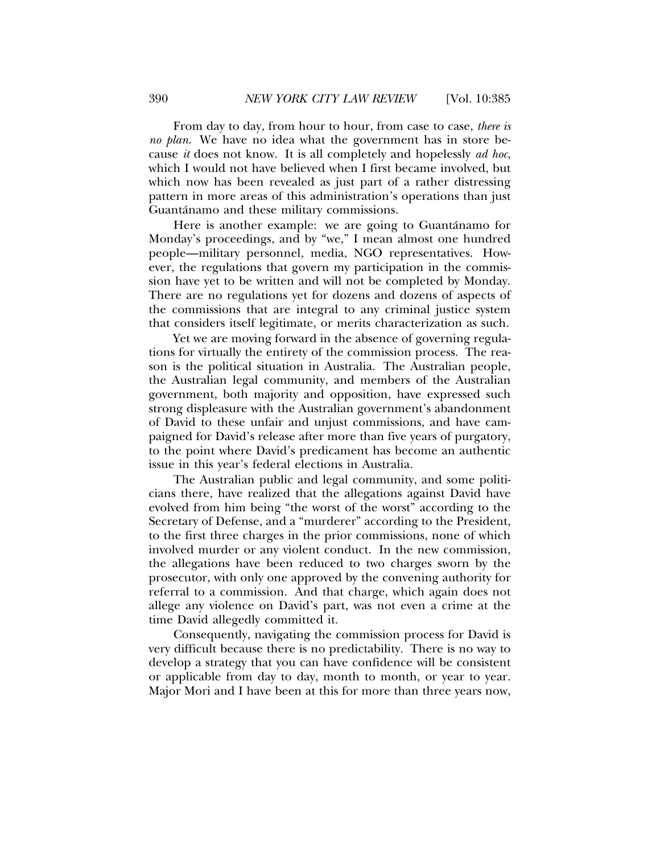From day to day, from hour to hour, from case to case, *there is no plan*. We have no idea what the government has in store because *it* does not know. It is all completely and hopelessly *ad hoc*, which I would not have believed when I first became involved, but which now has been revealed as just part of a rather distressing pattern in more areas of this administration's operations than just Guantánamo and these military commissions.

Here is another example: we are going to Guantánamo for Monday's proceedings, and by "we," I mean almost one hundred people—military personnel, media, NGO representatives. However, the regulations that govern my participation in the commission have yet to be written and will not be completed by Monday. There are no regulations yet for dozens and dozens of aspects of the commissions that are integral to any criminal justice system that considers itself legitimate, or merits characterization as such.

Yet we are moving forward in the absence of governing regulations for virtually the entirety of the commission process. The reason is the political situation in Australia. The Australian people, the Australian legal community, and members of the Australian government, both majority and opposition, have expressed such strong displeasure with the Australian government's abandonment of David to these unfair and unjust commissions, and have campaigned for David's release after more than five years of purgatory, to the point where David's predicament has become an authentic issue in this year's federal elections in Australia.

The Australian public and legal community, and some politicians there, have realized that the allegations against David have evolved from him being "the worst of the worst" according to the Secretary of Defense, and a "murderer" according to the President, to the first three charges in the prior commissions, none of which involved murder or any violent conduct. In the new commission, the allegations have been reduced to two charges sworn by the prosecutor, with only one approved by the convening authority for referral to a commission. And that charge, which again does not allege any violence on David's part, was not even a crime at the time David allegedly committed it.

Consequently, navigating the commission process for David is very difficult because there is no predictability. There is no way to develop a strategy that you can have confidence will be consistent or applicable from day to day, month to month, or year to year. Major Mori and I have been at this for more than three years now,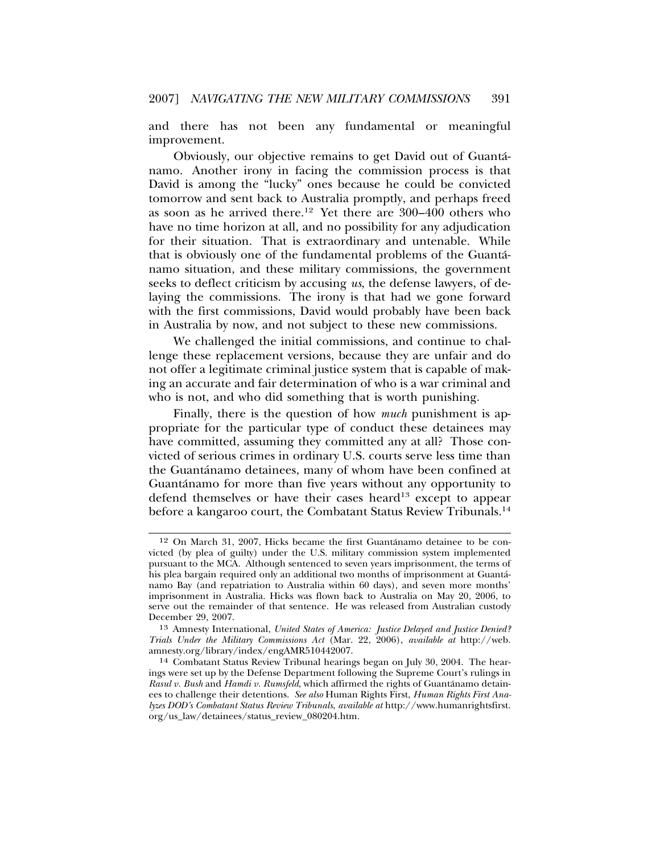and there has not been any fundamental or meaningful improvement.

Obviously, our objective remains to get David out of Guanta-´ namo. Another irony in facing the commission process is that David is among the "lucky" ones because he could be convicted tomorrow and sent back to Australia promptly, and perhaps freed as soon as he arrived there.<sup>12</sup> Yet there are  $300-400$  others who have no time horizon at all, and no possibility for any adjudication for their situation. That is extraordinary and untenable. While that is obviously one of the fundamental problems of the Guanta-´ namo situation, and these military commissions, the government seeks to deflect criticism by accusing *us*, the defense lawyers, of delaying the commissions. The irony is that had we gone forward with the first commissions, David would probably have been back in Australia by now, and not subject to these new commissions.

We challenged the initial commissions, and continue to challenge these replacement versions, because they are unfair and do not offer a legitimate criminal justice system that is capable of making an accurate and fair determination of who is a war criminal and who is not, and who did something that is worth punishing.

Finally, there is the question of how *much* punishment is appropriate for the particular type of conduct these detainees may have committed, assuming they committed any at all? Those convicted of serious crimes in ordinary U.S. courts serve less time than the Guantanamo detainees, many of whom have been confined at ´ Guantánamo for more than five years without any opportunity to defend themselves or have their cases heard<sup>13</sup> except to appear before a kangaroo court, the Combatant Status Review Tribunals.<sup>14</sup>

<sup>&</sup>lt;sup>12</sup> On March 31, 2007, Hicks became the first Guantánamo detainee to be convicted (by plea of guilty) under the U.S. military commission system implemented pursuant to the MCA. Although sentenced to seven years imprisonment, the terms of his plea bargain required only an additional two months of imprisonment at Guanta-´ namo Bay (and repatriation to Australia within 60 days), and seven more months' imprisonment in Australia. Hicks was flown back to Australia on May 20, 2006, to serve out the remainder of that sentence. He was released from Australian custody December 29, 2007.

<sup>13</sup> Amnesty International, *United States of America: Justice Delayed and Justice Denied? Trials Under the Military Commissions Act* (Mar. 22, 2006), *available at* http://web. amnesty.org/library/index/engAMR510442007.

<sup>14</sup> Combatant Status Review Tribunal hearings began on July 30, 2004. The hearings were set up by the Defense Department following the Supreme Court's rulings in *Rasul v. Bush* and *Hamdi v. Rumsfeld*, which affirmed the rights of Guantanamo detain- ´ ees to challenge their detentions. *See also* Human Rights First, *Human Rights First Analyzes DOD's Combatant Status Review Tribunals*, *available at* http://www.humanrightsfirst. org/us\_law/detainees/status\_review\_080204.htm.